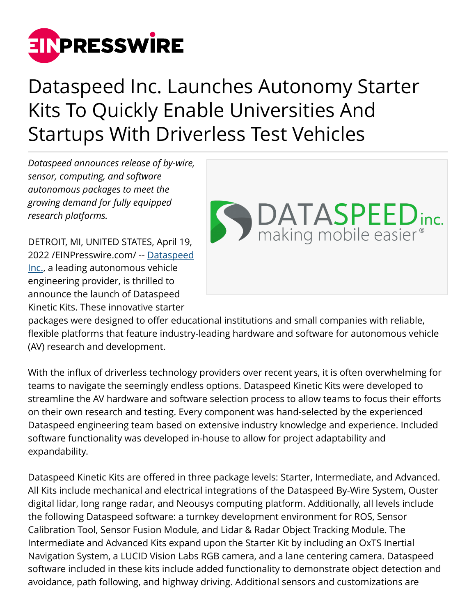

## Dataspeed Inc. Launches Autonomy Starter Kits To Quickly Enable Universities And Startups With Driverless Test Vehicles

*Dataspeed announces release of by-wire, sensor, computing, and software autonomous packages to meet the growing demand for fully equipped research platforms.*

DETROIT, MI, UNITED STATES, April 19, 2022 /[EINPresswire.com](http://www.einpresswire.com)/ -- [Dataspeed](http://www.dataspeedinc.com) [Inc.,](http://www.dataspeedinc.com) a leading autonomous vehicle engineering provider, is thrilled to announce the launch of Dataspeed Kinetic Kits. These innovative starter



packages were designed to offer educational institutions and small companies with reliable, flexible platforms that feature industry-leading hardware and software for autonomous vehicle (AV) research and development.

With the influx of driverless technology providers over recent years, it is often overwhelming for teams to navigate the seemingly endless options. Dataspeed Kinetic Kits were developed to streamline the AV hardware and software selection process to allow teams to focus their efforts on their own research and testing. Every component was hand-selected by the experienced Dataspeed engineering team based on extensive industry knowledge and experience. Included software functionality was developed in-house to allow for project adaptability and expandability.

Dataspeed Kinetic Kits are offered in three package levels: Starter, Intermediate, and Advanced. All Kits include mechanical and electrical integrations of the Dataspeed By-Wire System, Ouster digital lidar, long range radar, and Neousys computing platform. Additionally, all levels include the following Dataspeed software: a turnkey development environment for ROS, Sensor Calibration Tool, Sensor Fusion Module, and Lidar & Radar Object Tracking Module. The Intermediate and Advanced Kits expand upon the Starter Kit by including an OxTS Inertial Navigation System, a LUCID Vision Labs RGB camera, and a lane centering camera. Dataspeed software included in these kits include added functionality to demonstrate object detection and avoidance, path following, and highway driving. Additional sensors and customizations are